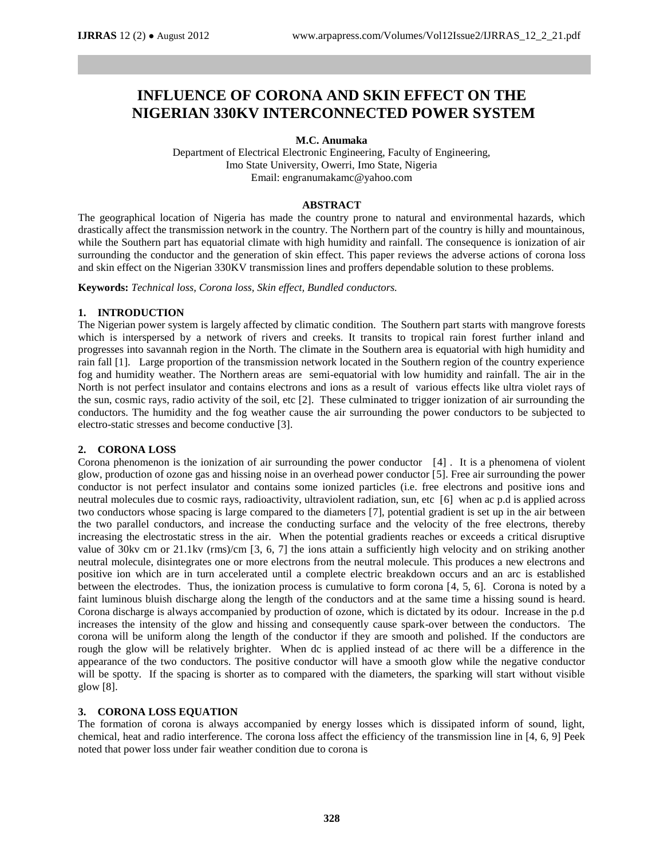# **INFLUENCE OF CORONA AND SKIN EFFECT ON THE NIGERIAN 330KV INTERCONNECTED POWER SYSTEM**

**M.C. Anumaka**

Department of Electrical Electronic Engineering, Faculty of Engineering, Imo State University, Owerri, Imo State, Nigeria Email: engranumakamc@yahoo.com

## **ABSTRACT**

The geographical location of Nigeria has made the country prone to natural and environmental hazards, which drastically affect the transmission network in the country. The Northern part of the country is hilly and mountainous, while the Southern part has equatorial climate with high humidity and rainfall. The consequence is ionization of air surrounding the conductor and the generation of skin effect. This paper reviews the adverse actions of corona loss and skin effect on the Nigerian 330KV transmission lines and proffers dependable solution to these problems.

**Keywords:** *Technical loss, Corona loss, Skin effect, Bundled conductors.* 

## **1. INTRODUCTION**

The Nigerian power system is largely affected by climatic condition. The Southern part starts with mangrove forests which is interspersed by a network of rivers and creeks. It transits to tropical rain forest further inland and progresses into savannah region in the North. The climate in the Southern area is equatorial with high humidity and rain fall [1]. Large proportion of the transmission network located in the Southern region of the country experience fog and humidity weather. The Northern areas are semi-equatorial with low humidity and rainfall. The air in the North is not perfect insulator and contains electrons and ions as a result of various effects like ultra violet rays of the sun, cosmic rays, radio activity of the soil, etc [2]. These culminated to trigger ionization of air surrounding the conductors. The humidity and the fog weather cause the air surrounding the power conductors to be subjected to electro-static stresses and become conductive [3].

## **2. CORONA LOSS**

Corona phenomenon is the ionization of air surrounding the power conductor [4] . It is a phenomena of violent glow, production of ozone gas and hissing noise in an overhead power conductor [5]. Free air surrounding the power conductor is not perfect insulator and contains some ionized particles (i.e. free electrons and positive ions and neutral molecules due to cosmic rays, radioactivity, ultraviolent radiation, sun, etc [6] when ac p.d is applied across two conductors whose spacing is large compared to the diameters [7], potential gradient is set up in the air between the two parallel conductors, and increase the conducting surface and the velocity of the free electrons, thereby increasing the electrostatic stress in the air. When the potential gradients reaches or exceeds a critical disruptive value of 30kv cm or 21.1kv (rms)/cm [3, 6, 7] the ions attain a sufficiently high velocity and on striking another neutral molecule, disintegrates one or more electrons from the neutral molecule. This produces a new electrons and positive ion which are in turn accelerated until a complete electric breakdown occurs and an arc is established between the electrodes. Thus, the ionization process is cumulative to form corona [4, 5, 6]. Corona is noted by a faint luminous bluish discharge along the length of the conductors and at the same time a hissing sound is heard. Corona discharge is always accompanied by production of ozone, which is dictated by its odour. Increase in the p.d increases the intensity of the glow and hissing and consequently cause spark-over between the conductors. The corona will be uniform along the length of the conductor if they are smooth and polished. If the conductors are rough the glow will be relatively brighter. When dc is applied instead of ac there will be a difference in the appearance of the two conductors. The positive conductor will have a smooth glow while the negative conductor will be spotty. If the spacing is shorter as to compared with the diameters, the sparking will start without visible glow [8].

## **3. CORONA LOSS EQUATION**

The formation of corona is always accompanied by energy losses which is dissipated inform of sound, light, chemical, heat and radio interference. The corona loss affect the efficiency of the transmission line in [4, 6, 9] Peek noted that power loss under fair weather condition due to corona is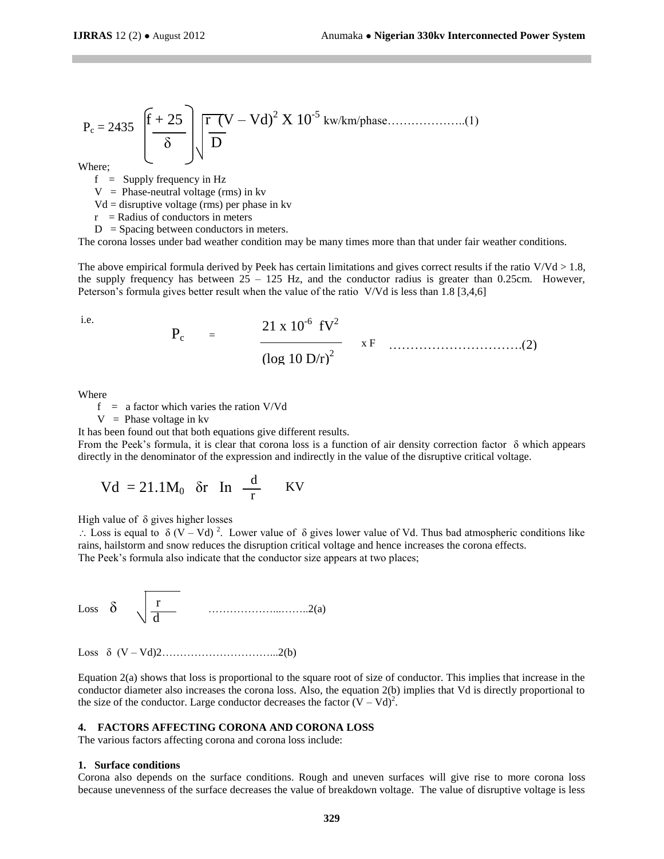$$
P_c = 2435 \left[\frac{f+25}{\delta}\right] \sqrt{\frac{r (V-Vd)^2 X 10^{-5} \text{ kw/km/phase............(1)}}{D}}
$$

Where;

 $f =$  Supply frequency in Hz

 $V = Phase-neutral voltage (rms) in kv$ 

 $Vd =$  disruptive voltage (rms) per phase in kv

 $r =$ Radius of conductors in meters

 $D =$  Spacing between conductors in meters.

The corona losses under bad weather condition may be many times more than that under fair weather conditions.

The above empirical formula derived by Peek has certain limitations and gives correct results if the ratio  $V/Vd > 1.8$ , the supply frequency has between  $25 - 125$  Hz, and the conductor radius is greater than 0.25cm. However, Peterson's formula gives better result when the value of the ratio V/Vd is less than 1.8 [3,4,6]

i.e.

21 x 10-6 fV<sup>2</sup> (log 10 D/r)<sup>2</sup> x F Pc <sup>=</sup> ………………………….(2)

Where

 $f = a$  factor which varies the ration V/Vd

 $V =$  Phase voltage in kv

It has been found out that both equations give different results.

From the Peek's formula, it is clear that corona loss is a function of air density correction factor  $\delta$  which appears directly in the denominator of the expression and indirectly in the value of the disruptive critical voltage.

$$
Vd = 21.1M_0 \text{ or } \ln \frac{d}{r} \text{ KV}
$$

High value of δ gives higher losses

∴ Loss is equal to  $\delta$  (V – Vd)<sup>2</sup>. Lower value of  $\delta$  gives lower value of Vd. Thus bad atmospheric conditions like rains, hailstorm and snow reduces the disruption critical voltage and hence increases the corona effects. The Peek's formula also indicate that the conductor size appears at two places;

Loss δ ………………...……..2(a) r  $\sqrt{d}$ 

Loss δ (V – Vd)2…………………………...2(b)

Equation 2(a) shows that loss is proportional to the square root of size of conductor. This implies that increase in the conductor diameter also increases the corona loss. Also, the equation 2(b) implies that Vd is directly proportional to the size of the conductor. Large conductor decreases the factor  $(V - Vd)^2$ .

#### **4. FACTORS AFFECTING CORONA AND CORONA LOSS**

The various factors affecting corona and corona loss include:

#### **1. Surface conditions**

Corona also depends on the surface conditions. Rough and uneven surfaces will give rise to more corona loss because unevenness of the surface decreases the value of breakdown voltage. The value of disruptive voltage is less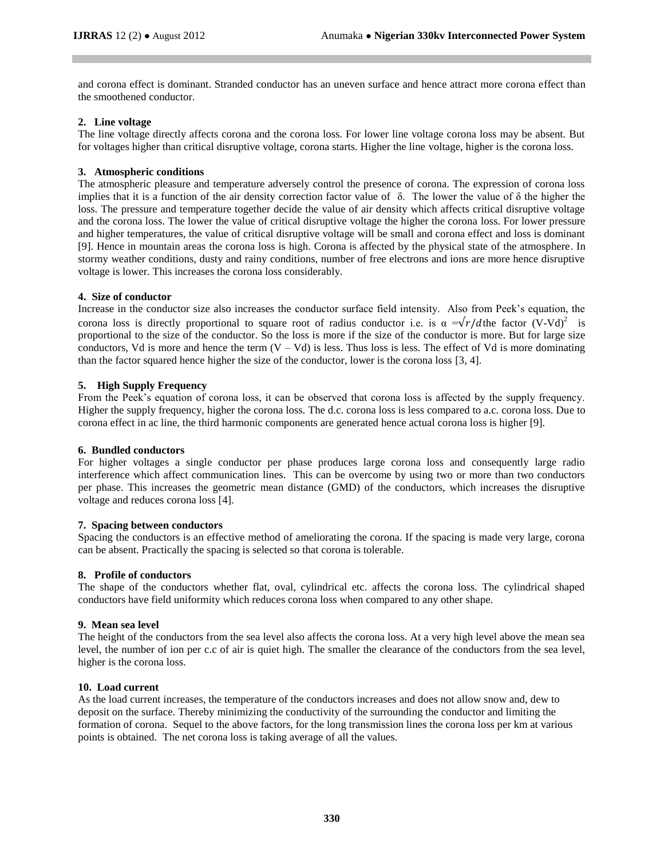and corona effect is dominant. Stranded conductor has an uneven surface and hence attract more corona effect than the smoothened conductor.

## **2. Line voltage**

The line voltage directly affects corona and the corona loss. For lower line voltage corona loss may be absent. But for voltages higher than critical disruptive voltage, corona starts. Higher the line voltage, higher is the corona loss.

## **3. Atmospheric conditions**

The atmospheric pleasure and temperature adversely control the presence of corona. The expression of corona loss implies that it is a function of the air density correction factor value of δ. The lower the value of δ the higher the loss. The pressure and temperature together decide the value of air density which affects critical disruptive voltage and the corona loss. The lower the value of critical disruptive voltage the higher the corona loss. For lower pressure and higher temperatures, the value of critical disruptive voltage will be small and corona effect and loss is dominant [9]. Hence in mountain areas the corona loss is high. Corona is affected by the physical state of the atmosphere. In stormy weather conditions, dusty and rainy conditions, number of free electrons and ions are more hence disruptive voltage is lower. This increases the corona loss considerably.

## **4. Size of conductor**

Increase in the conductor size also increases the conductor surface field intensity. Also from Peek's equation, the corona loss is directly proportional to square root of radius conductor i.e. is  $\alpha = \sqrt{r/d}$ the factor (V-Vd)<sup>2</sup> is proportional to the size of the conductor. So the loss is more if the size of the conductor is more. But for large size conductors, Vd is more and hence the term  $(V - Vd)$  is less. Thus loss is less. The effect of Vd is more dominating than the factor squared hence higher the size of the conductor, lower is the corona loss [3, 4].

## **5. High Supply Frequency**

From the Peek's equation of corona loss, it can be observed that corona loss is affected by the supply frequency. Higher the supply frequency, higher the corona loss. The d.c. corona loss is less compared to a.c. corona loss. Due to corona effect in ac line, the third harmonic components are generated hence actual corona loss is higher [9].

#### **6. Bundled conductors**

For higher voltages a single conductor per phase produces large corona loss and consequently large radio interference which affect communication lines. This can be overcome by using two or more than two conductors per phase. This increases the geometric mean distance (GMD) of the conductors, which increases the disruptive voltage and reduces corona loss [4].

#### **7. Spacing between conductors**

Spacing the conductors is an effective method of ameliorating the corona. If the spacing is made very large, corona can be absent. Practically the spacing is selected so that corona is tolerable.

#### **8. Profile of conductors**

The shape of the conductors whether flat, oval, cylindrical etc. affects the corona loss. The cylindrical shaped conductors have field uniformity which reduces corona loss when compared to any other shape.

#### **9. Mean sea level**

The height of the conductors from the sea level also affects the corona loss. At a very high level above the mean sea level, the number of ion per c.c of air is quiet high. The smaller the clearance of the conductors from the sea level, higher is the corona loss.

#### **10. Load current**

As the load current increases, the temperature of the conductors increases and does not allow snow and, dew to deposit on the surface. Thereby minimizing the conductivity of the surrounding the conductor and limiting the formation of corona. Sequel to the above factors, for the long transmission lines the corona loss per km at various points is obtained. The net corona loss is taking average of all the values.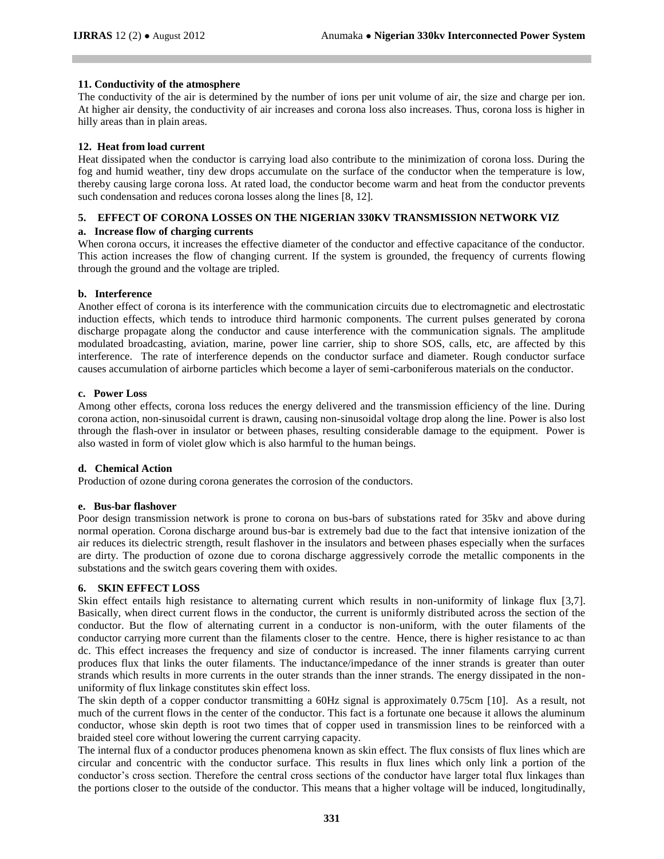## **11. Conductivity of the atmosphere**

The conductivity of the air is determined by the number of ions per unit volume of air, the size and charge per ion. At higher air density, the conductivity of air increases and corona loss also increases. Thus, corona loss is higher in hilly areas than in plain areas.

## **12. Heat from load current**

Heat dissipated when the conductor is carrying load also contribute to the minimization of corona loss. During the fog and humid weather, tiny dew drops accumulate on the surface of the conductor when the temperature is low, thereby causing large corona loss. At rated load, the conductor become warm and heat from the conductor prevents such condensation and reduces corona losses along the lines [8, 12].

## **5. EFFECT OF CORONA LOSSES ON THE NIGERIAN 330KV TRANSMISSION NETWORK VIZ**

### **a. Increase flow of charging currents**

When corona occurs, it increases the effective diameter of the conductor and effective capacitance of the conductor. This action increases the flow of changing current. If the system is grounded, the frequency of currents flowing through the ground and the voltage are tripled.

## **b. Interference**

Another effect of corona is its interference with the communication circuits due to electromagnetic and electrostatic induction effects, which tends to introduce third harmonic components. The current pulses generated by corona discharge propagate along the conductor and cause interference with the communication signals. The amplitude modulated broadcasting, aviation, marine, power line carrier, ship to shore SOS, calls, etc, are affected by this interference. The rate of interference depends on the conductor surface and diameter. Rough conductor surface causes accumulation of airborne particles which become a layer of semi-carboniferous materials on the conductor.

## **c. Power Loss**

Among other effects, corona loss reduces the energy delivered and the transmission efficiency of the line. During corona action, non-sinusoidal current is drawn, causing non-sinusoidal voltage drop along the line. Power is also lost through the flash-over in insulator or between phases, resulting considerable damage to the equipment. Power is also wasted in form of violet glow which is also harmful to the human beings.

#### **d. Chemical Action**

Production of ozone during corona generates the corrosion of the conductors.

#### **e. Bus-bar flashover**

Poor design transmission network is prone to corona on bus-bars of substations rated for 35kv and above during normal operation. Corona discharge around bus-bar is extremely bad due to the fact that intensive ionization of the air reduces its dielectric strength, result flashover in the insulators and between phases especially when the surfaces are dirty. The production of ozone due to corona discharge aggressively corrode the metallic components in the substations and the switch gears covering them with oxides.

## **6. SKIN EFFECT LOSS**

Skin effect entails high resistance to alternating current which results in non-uniformity of linkage flux [3,7]. Basically, when direct current flows in the conductor, the current is uniformly distributed across the section of the conductor. But the flow of alternating current in a conductor is non-uniform, with the outer filaments of the conductor carrying more current than the filaments closer to the centre. Hence, there is higher resistance to ac than dc. This effect increases the frequency and size of conductor is increased. The inner filaments carrying current produces flux that links the outer filaments. The inductance/impedance of the inner strands is greater than outer strands which results in more currents in the outer strands than the inner strands. The energy dissipated in the nonuniformity of flux linkage constitutes skin effect loss.

The skin depth of a copper conductor transmitting a 60Hz signal is approximately 0.75cm [10]. As a result, not much of the current flows in the center of the conductor. This fact is a fortunate one because it allows the aluminum conductor, whose skin depth is root two times that of copper used in transmission lines to be reinforced with a braided steel core without lowering the current carrying capacity.

The internal flux of a conductor produces phenomena known as skin effect. The flux consists of flux lines which are circular and concentric with the conductor surface. This results in flux lines which only link a portion of the conductor's cross section. Therefore the central cross sections of the conductor have larger total flux linkages than the portions closer to the outside of the conductor. This means that a higher voltage will be induced, longitudinally,